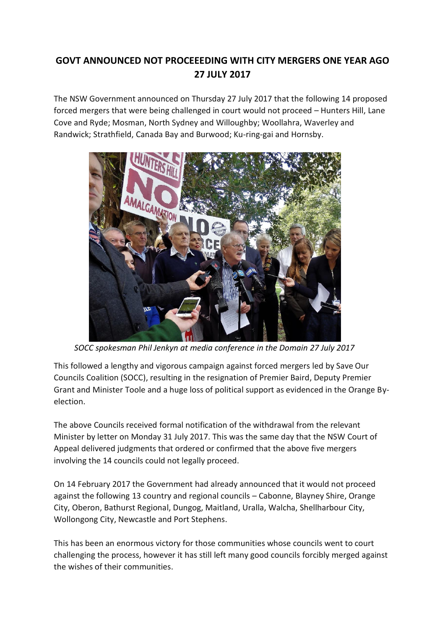## **GOVT ANNOUNCED NOT PROCEEEDING WITH CITY MERGERS ONE YEAR AGO 27 JULY 2017**

The NSW Government announced on Thursday 27 July 2017 that the following 14 proposed forced mergers that were being challenged in court would not proceed – Hunters Hill, Lane Cove and Ryde; Mosman, North Sydney and Willoughby; Woollahra, Waverley and Randwick; Strathfield, Canada Bay and Burwood; Ku-ring-gai and Hornsby.



 *SOCC spokesman Phil Jenkyn at media conference in the Domain 27 July 2017*

This followed a lengthy and vigorous campaign against forced mergers led by Save Our Councils Coalition (SOCC), resulting in the resignation of Premier Baird, Deputy Premier Grant and Minister Toole and a huge loss of political support as evidenced in the Orange Byelection.

The above Councils received formal notification of the withdrawal from the relevant Minister by letter on Monday 31 July 2017. This was the same day that the NSW Court of Appeal delivered judgments that ordered or confirmed that the above five mergers involving the 14 councils could not legally proceed.

On 14 February 2017 the Government had already announced that it would not proceed against the following 13 country and regional councils – Cabonne, Blayney Shire, Orange City, Oberon, Bathurst Regional, Dungog, Maitland, Uralla, Walcha, Shellharbour City, Wollongong City, Newcastle and Port Stephens.

This has been an enormous victory for those communities whose councils went to court challenging the process, however it has still left many good councils forcibly merged against the wishes of their communities.